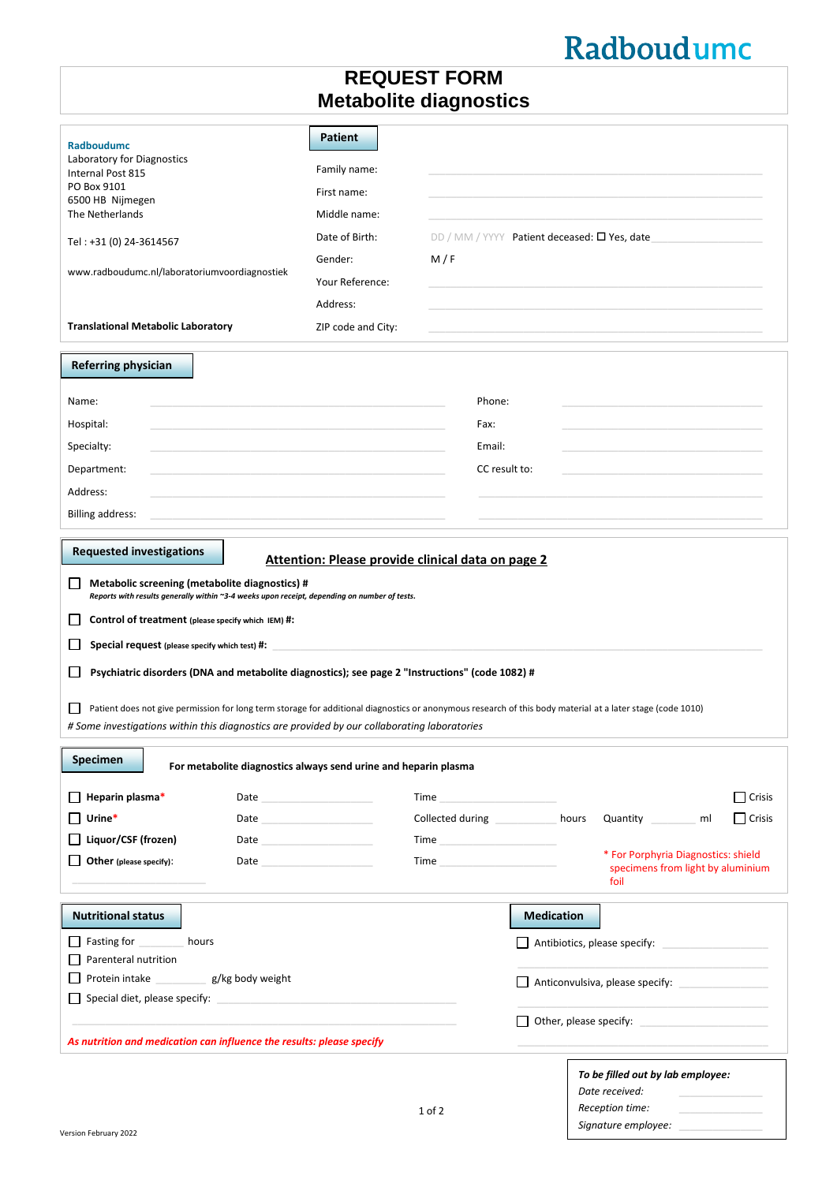## Radboudumc

## **REQUEST FORM Metabolite diagnostics**

| <b>Radboudumc</b><br>Laboratory for Diagnostics<br>Internal Post 815<br>PO Box 9101<br>6500 HB Nijmegen<br>The Netherlands<br>Tel: +31 (0) 24-3614567<br>www.radboudumc.nl/laboratoriumvoordiagnostiek | <b>Patient</b><br>Family name:<br>First name:<br>Middle name:<br>Date of Birth:<br>Gender:<br>Your Reference:<br>Address:                                                                                                           | M/F                                                                                                                                                                                                                            |                   | DD / MM / YYYY Patient deceased: O Yes, date                                                                                                                                                                                   |    |               |
|--------------------------------------------------------------------------------------------------------------------------------------------------------------------------------------------------------|-------------------------------------------------------------------------------------------------------------------------------------------------------------------------------------------------------------------------------------|--------------------------------------------------------------------------------------------------------------------------------------------------------------------------------------------------------------------------------|-------------------|--------------------------------------------------------------------------------------------------------------------------------------------------------------------------------------------------------------------------------|----|---------------|
| <b>Translational Metabolic Laboratory</b>                                                                                                                                                              | ZIP code and City:                                                                                                                                                                                                                  |                                                                                                                                                                                                                                |                   |                                                                                                                                                                                                                                |    |               |
| <b>Referring physician</b>                                                                                                                                                                             |                                                                                                                                                                                                                                     |                                                                                                                                                                                                                                |                   |                                                                                                                                                                                                                                |    |               |
| Name:                                                                                                                                                                                                  |                                                                                                                                                                                                                                     | Phone:                                                                                                                                                                                                                         |                   |                                                                                                                                                                                                                                |    |               |
| Hospital:                                                                                                                                                                                              |                                                                                                                                                                                                                                     | Fax:                                                                                                                                                                                                                           |                   |                                                                                                                                                                                                                                |    |               |
| Specialty:                                                                                                                                                                                             |                                                                                                                                                                                                                                     | Email:                                                                                                                                                                                                                         |                   |                                                                                                                                                                                                                                |    |               |
| Department:                                                                                                                                                                                            |                                                                                                                                                                                                                                     | CC result to:                                                                                                                                                                                                                  |                   |                                                                                                                                                                                                                                |    |               |
| Address:                                                                                                                                                                                               |                                                                                                                                                                                                                                     |                                                                                                                                                                                                                                |                   |                                                                                                                                                                                                                                |    |               |
| <b>Billing address:</b>                                                                                                                                                                                |                                                                                                                                                                                                                                     |                                                                                                                                                                                                                                |                   |                                                                                                                                                                                                                                |    |               |
| <b>Requested investigations</b>                                                                                                                                                                        |                                                                                                                                                                                                                                     |                                                                                                                                                                                                                                |                   |                                                                                                                                                                                                                                |    |               |
| Metabolic screening (metabolite diagnostics) #<br>Reports with results generally within ~3-4 weeks upon receipt, depending on number of tests.                                                         | Attention: Please provide clinical data on page 2                                                                                                                                                                                   |                                                                                                                                                                                                                                |                   |                                                                                                                                                                                                                                |    |               |
| Control of treatment (please specify which IEM) #:                                                                                                                                                     |                                                                                                                                                                                                                                     |                                                                                                                                                                                                                                |                   |                                                                                                                                                                                                                                |    |               |
| Special request (please specify which test) #:                                                                                                                                                         |                                                                                                                                                                                                                                     |                                                                                                                                                                                                                                |                   |                                                                                                                                                                                                                                |    |               |
| Psychiatric disorders (DNA and metabolite diagnostics); see page 2 "Instructions" (code 1082) #                                                                                                        |                                                                                                                                                                                                                                     |                                                                                                                                                                                                                                |                   |                                                                                                                                                                                                                                |    |               |
|                                                                                                                                                                                                        |                                                                                                                                                                                                                                     |                                                                                                                                                                                                                                |                   |                                                                                                                                                                                                                                |    |               |
| Patient does not give permission for long term storage for additional diagnostics or anonymous research of this body material at a later stage (code 1010)                                             |                                                                                                                                                                                                                                     |                                                                                                                                                                                                                                |                   |                                                                                                                                                                                                                                |    |               |
| # Some investigations within this diagnostics are provided by our collaborating laboratories                                                                                                           |                                                                                                                                                                                                                                     |                                                                                                                                                                                                                                |                   |                                                                                                                                                                                                                                |    |               |
| <b>Specimen</b><br>For metabolite diagnostics always send urine and heparin plasma                                                                                                                     |                                                                                                                                                                                                                                     |                                                                                                                                                                                                                                |                   |                                                                                                                                                                                                                                |    |               |
| Heparin plasma*                                                                                                                                                                                        | Date and the contract of the contract of the contract of the contract of the contract of the contract of the contract of the contract of the contract of the contract of the contract of the contract of the contract of the c      | Time and the contract of the contract of the contract of the contract of the contract of the contract of the contract of the contract of the contract of the contract of the contract of the contract of the contract of the c |                   |                                                                                                                                                                                                                                |    | $\Box$ Crisis |
| Urine*                                                                                                                                                                                                 | Date <u>and the second second</u> and the second second second second second second second second second second second second second second second second second second second second second second second second second second sec | Collected during <b>Collected</b> during                                                                                                                                                                                       | hours             | Quantity                                                                                                                                                                                                                       | ml | $\Box$ Crisis |
| Liquor/CSF (frozen)                                                                                                                                                                                    | Date and the contract of the contract of the contract of the contract of the contract of the contract of the contract of the contract of the contract of the contract of the contract of the contract of the contract of the c      | Time and the contract of the contract of the contract of the contract of the contract of the contract of the contract of the contract of the contract of the contract of the contract of the contract of the contract of the c |                   |                                                                                                                                                                                                                                |    |               |
| Other (please specify):                                                                                                                                                                                | Date and the contract of the contract of the contract of the contract of the contract of the contract of the contract of the contract of the contract of the contract of the contract of the contract of the contract of the c      | Time <b>All Districts</b>                                                                                                                                                                                                      |                   | * For Porphyria Diagnostics: shield<br>specimens from light by aluminium<br>foil                                                                                                                                               |    |               |
| <b>Nutritional status</b>                                                                                                                                                                              |                                                                                                                                                                                                                                     |                                                                                                                                                                                                                                | <b>Medication</b> |                                                                                                                                                                                                                                |    |               |
| Fasting for hours                                                                                                                                                                                      |                                                                                                                                                                                                                                     |                                                                                                                                                                                                                                |                   | $\Box$ Antibiotics, please specify:                                                                                                                                                                                            |    |               |
| Parenteral nutrition                                                                                                                                                                                   |                                                                                                                                                                                                                                     |                                                                                                                                                                                                                                |                   |                                                                                                                                                                                                                                |    |               |
| Protein intake g/kg body weight                                                                                                                                                                        |                                                                                                                                                                                                                                     |                                                                                                                                                                                                                                |                   | Anticonvulsiva, please specify:                                                                                                                                                                                                |    |               |
|                                                                                                                                                                                                        |                                                                                                                                                                                                                                     |                                                                                                                                                                                                                                |                   |                                                                                                                                                                                                                                |    |               |
| As nutrition and medication can influence the results: please specify                                                                                                                                  |                                                                                                                                                                                                                                     |                                                                                                                                                                                                                                |                   | Other, please specify: The control of the state of the control of the control of the control of the control of the control of the control of the control of the control of the control of the control of the control of the co |    |               |
|                                                                                                                                                                                                        |                                                                                                                                                                                                                                     |                                                                                                                                                                                                                                |                   |                                                                                                                                                                                                                                |    |               |
|                                                                                                                                                                                                        |                                                                                                                                                                                                                                     |                                                                                                                                                                                                                                |                   | To be filled out by lab employee:<br>Date received:                                                                                                                                                                            |    |               |
|                                                                                                                                                                                                        |                                                                                                                                                                                                                                     | $1$ of $2$                                                                                                                                                                                                                     |                   | Reception time:                                                                                                                                                                                                                |    |               |

*Signature employee:* \_\_\_\_\_\_\_\_\_\_\_\_\_\_\_